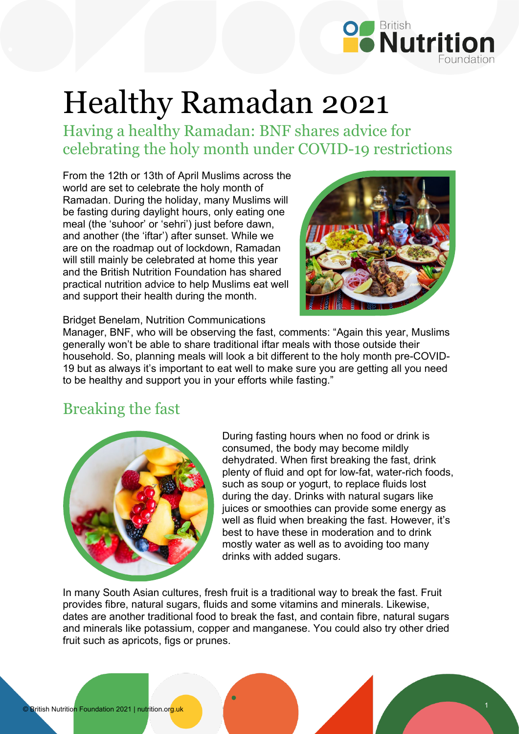

# Healthy Ramadan 2021

Having a healthy Ramadan: BNF shares advice for celebrating the holy month under COVID-19 restrictions

From the 12th or 13th of April Muslims across the world are set to celebrate the holy month of Ramadan. During the holiday, many Muslims will be fasting during daylight hours, only eating one meal (the 'suhoor' or 'sehri') just before dawn, and another (the 'iftar') after sunset. While we are on the roadmap out of lockdown, Ramadan will still mainly be celebrated at home this year and the British Nutrition Foundation has shared practical nutrition advice to help Muslims eat well and support their health during the month.



Bridget Benelam, Nutrition Communications

Manager, BNF, who will be observing the fast, comments: "Again this year, Muslims generally won't be able to share traditional iftar meals with those outside their household. So, planning meals will look a bit different to the holy month pre-COVID-19 but as always it's important to eat well to make sure you are getting all you need to be healthy and support you in your efforts while fasting."

### Breaking the fast



During fasting hours when no food or drink is consumed, the body may become mildly dehydrated. When first breaking the fast, drink plenty of fluid and opt for low-fat, water-rich foods, such as soup or yogurt, to replace fluids lost during the day. Drinks with natural sugars like juices or smoothies can provide some energy as well as fluid when breaking the fast. However, it's best to have these in moderation and to drink mostly water as well as to avoiding too many drinks with added sugars.

In many South Asian cultures, fresh fruit is a traditional way to break the fast. Fruit provides fibre, natural sugars, fluids and some vitamins and minerals. Likewise, dates are another traditional food to break the fast, and contain fibre, natural sugars and minerals like potassium, copper and manganese. You could also try other dried fruit such as apricots, figs or prunes.